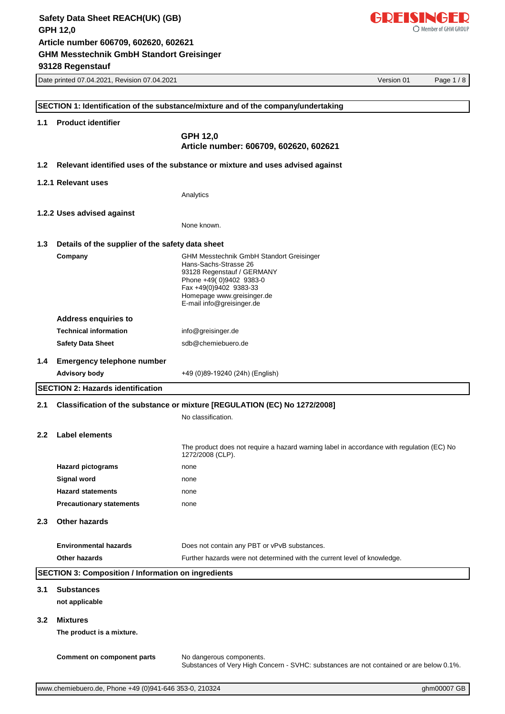

|                  | Date printed 07.04.2021, Revision 07.04.2021               | Version 01                                                                                                          | Page 1/8 |
|------------------|------------------------------------------------------------|---------------------------------------------------------------------------------------------------------------------|----------|
|                  |                                                            |                                                                                                                     |          |
|                  |                                                            | SECTION 1: Identification of the substance/mixture and of the company/undertaking                                   |          |
| 1.1              | <b>Product identifier</b>                                  |                                                                                                                     |          |
|                  |                                                            | GPH 12,0                                                                                                            |          |
|                  |                                                            | Article number: 606709, 602620, 602621                                                                              |          |
|                  |                                                            |                                                                                                                     |          |
| 1.2 <sub>1</sub> |                                                            | Relevant identified uses of the substance or mixture and uses advised against                                       |          |
|                  | 1.2.1 Relevant uses                                        |                                                                                                                     |          |
|                  |                                                            | Analytics                                                                                                           |          |
|                  |                                                            |                                                                                                                     |          |
|                  | 1.2.2 Uses advised against                                 | None known.                                                                                                         |          |
|                  |                                                            |                                                                                                                     |          |
| 1.3              | Details of the supplier of the safety data sheet           |                                                                                                                     |          |
|                  | Company                                                    | <b>GHM Messtechnik GmbH Standort Greisinger</b>                                                                     |          |
|                  |                                                            | Hans-Sachs-Strasse 26<br>93128 Regenstauf / GERMANY                                                                 |          |
|                  |                                                            | Phone +49(0)9402 9383-0<br>Fax +49(0)9402 9383-33                                                                   |          |
|                  |                                                            | Homepage www.greisinger.de                                                                                          |          |
|                  |                                                            | E-mail info@greisinger.de                                                                                           |          |
|                  | <b>Address enquiries to</b>                                |                                                                                                                     |          |
|                  | <b>Technical information</b>                               | info@greisinger.de                                                                                                  |          |
|                  | <b>Safety Data Sheet</b>                                   | sdb@chemiebuero.de                                                                                                  |          |
|                  | 1.4 Emergency telephone number                             |                                                                                                                     |          |
|                  | <b>Advisory body</b>                                       | +49 (0)89-19240 (24h) (English)                                                                                     |          |
|                  | <b>SECTION 2: Hazards identification</b>                   |                                                                                                                     |          |
| 2.1              |                                                            | Classification of the substance or mixture [REGULATION (EC) No 1272/2008]                                           |          |
|                  |                                                            | No classification.                                                                                                  |          |
|                  |                                                            |                                                                                                                     |          |
| 2.2              | Label elements                                             |                                                                                                                     |          |
|                  |                                                            | The product does not require a hazard warning label in accordance with regulation (EC) No<br>1272/2008 (CLP).       |          |
|                  | <b>Hazard pictograms</b>                                   | none                                                                                                                |          |
|                  | <b>Signal word</b>                                         | none                                                                                                                |          |
|                  | <b>Hazard statements</b>                                   | none                                                                                                                |          |
|                  | <b>Precautionary statements</b>                            | none                                                                                                                |          |
| 2.3              | <b>Other hazards</b>                                       |                                                                                                                     |          |
|                  | <b>Environmental hazards</b>                               | Does not contain any PBT or vPvB substances.                                                                        |          |
|                  | <b>Other hazards</b>                                       | Further hazards were not determined with the current level of knowledge.                                            |          |
|                  |                                                            |                                                                                                                     |          |
|                  | <b>SECTION 3: Composition / Information on ingredients</b> |                                                                                                                     |          |
| 3.1              | <b>Substances</b>                                          |                                                                                                                     |          |
|                  | not applicable                                             |                                                                                                                     |          |
| 3.2 <sub>2</sub> | <b>Mixtures</b>                                            |                                                                                                                     |          |
|                  | The product is a mixture.                                  |                                                                                                                     |          |
|                  |                                                            |                                                                                                                     |          |
|                  | <b>Comment on component parts</b>                          | No dangerous components.<br>Substances of Very High Concern - SVHC: substances are not contained or are below 0.1%. |          |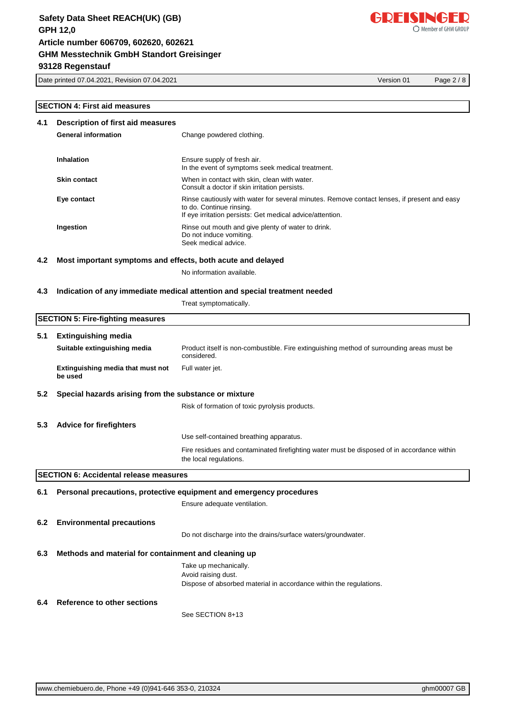Date printed 07.04.2021, Revision 07.04.2021 Version 01 Page 2 / 8

#### **SECTION 4: First aid measures**

| 4.1<br>Description of first aid measures                                          |                                                             |                                                                                                                                                                                      |  |
|-----------------------------------------------------------------------------------|-------------------------------------------------------------|--------------------------------------------------------------------------------------------------------------------------------------------------------------------------------------|--|
|                                                                                   | <b>General information</b>                                  | Change powdered clothing.                                                                                                                                                            |  |
|                                                                                   | <b>Inhalation</b>                                           | Ensure supply of fresh air.<br>In the event of symptoms seek medical treatment.                                                                                                      |  |
|                                                                                   | <b>Skin contact</b>                                         | When in contact with skin, clean with water.<br>Consult a doctor if skin irritation persists.                                                                                        |  |
|                                                                                   | Eye contact                                                 | Rinse cautiously with water for several minutes. Remove contact lenses, if present and easy<br>to do. Continue rinsing.<br>If eye irritation persists: Get medical advice/attention. |  |
|                                                                                   | Ingestion                                                   | Rinse out mouth and give plenty of water to drink.<br>Do not induce vomiting.<br>Seek medical advice.                                                                                |  |
| 4.2                                                                               | Most important symptoms and effects, both acute and delayed |                                                                                                                                                                                      |  |
|                                                                                   |                                                             | No information available.                                                                                                                                                            |  |
| 4.3<br>Indication of any immediate medical attention and special treatment needed |                                                             |                                                                                                                                                                                      |  |
|                                                                                   |                                                             | Treat symptomatically.                                                                                                                                                               |  |
|                                                                                   | <b>SECTION 5: Fire-fighting measures</b>                    |                                                                                                                                                                                      |  |
| 5.1                                                                               | <b>Extinguishing media</b>                                  |                                                                                                                                                                                      |  |
|                                                                                   | Suitable extinguishing media                                | Product itself is non-combustible. Fire extinguishing method of surrounding areas must be<br>considered.                                                                             |  |
|                                                                                   | Extinguishing media that must not<br>be used                | Full water jet.                                                                                                                                                                      |  |
| 5.2<br>Special hazards arising from the substance or mixture                      |                                                             |                                                                                                                                                                                      |  |
|                                                                                   |                                                             | Risk of formation of toxic pyrolysis products.                                                                                                                                       |  |
| 5.3                                                                               | <b>Advice for firefighters</b>                              |                                                                                                                                                                                      |  |
|                                                                                   |                                                             | Use self-contained breathing apparatus.                                                                                                                                              |  |

Fire residues and contaminated firefighting water must be disposed of in accordance within the local regulations.

**SECTION 6: Accidental release measures**

**6.1 Personal precautions, protective equipment and emergency procedures**

Ensure adequate ventilation.

#### **6.2 Environmental precautions**

Do not discharge into the drains/surface waters/groundwater.

#### **6.3 Methods and material for containment and cleaning up**

Take up mechanically. Avoid raising dust. Dispose of absorbed material in accordance within the regulations.

#### **6.4 Reference to other sections**

See SECTION 8+13

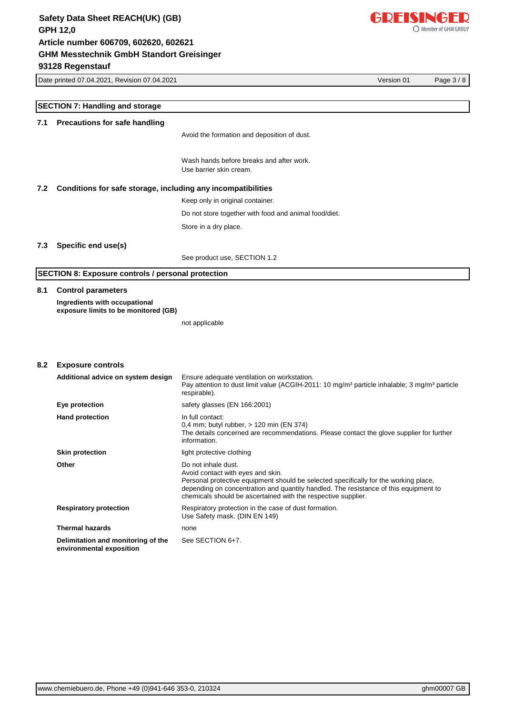

Date printed 07.04.2021, Revision 07.04.2021 Version 01 Page 3 / 8

|     | <b>SECTION 7: Handling and storage</b>                                |                                                                                                                                                                                                                                                                                                           |  |  |
|-----|-----------------------------------------------------------------------|-----------------------------------------------------------------------------------------------------------------------------------------------------------------------------------------------------------------------------------------------------------------------------------------------------------|--|--|
|     |                                                                       |                                                                                                                                                                                                                                                                                                           |  |  |
| 7.1 | <b>Precautions for safe handling</b>                                  |                                                                                                                                                                                                                                                                                                           |  |  |
|     |                                                                       | Avoid the formation and deposition of dust.                                                                                                                                                                                                                                                               |  |  |
|     |                                                                       | Wash hands before breaks and after work.                                                                                                                                                                                                                                                                  |  |  |
|     |                                                                       | Use barrier skin cream.                                                                                                                                                                                                                                                                                   |  |  |
| 7.2 | Conditions for safe storage, including any incompatibilities          |                                                                                                                                                                                                                                                                                                           |  |  |
|     |                                                                       | Keep only in original container.                                                                                                                                                                                                                                                                          |  |  |
|     |                                                                       | Do not store together with food and animal food/diet.                                                                                                                                                                                                                                                     |  |  |
|     |                                                                       | Store in a dry place.                                                                                                                                                                                                                                                                                     |  |  |
|     |                                                                       |                                                                                                                                                                                                                                                                                                           |  |  |
| 7.3 | Specific end use(s)                                                   | See product use, SECTION 1.2                                                                                                                                                                                                                                                                              |  |  |
|     |                                                                       |                                                                                                                                                                                                                                                                                                           |  |  |
|     | <b>SECTION 8: Exposure controls / personal protection</b>             |                                                                                                                                                                                                                                                                                                           |  |  |
| 8.1 | <b>Control parameters</b>                                             |                                                                                                                                                                                                                                                                                                           |  |  |
|     | Ingredients with occupational<br>exposure limits to be monitored (GB) |                                                                                                                                                                                                                                                                                                           |  |  |
|     |                                                                       | not applicable                                                                                                                                                                                                                                                                                            |  |  |
|     |                                                                       |                                                                                                                                                                                                                                                                                                           |  |  |
|     |                                                                       |                                                                                                                                                                                                                                                                                                           |  |  |
| 8.2 | <b>Exposure controls</b>                                              |                                                                                                                                                                                                                                                                                                           |  |  |
|     | Additional advice on system design                                    | Ensure adequate ventilation on workstation.<br>Pay attention to dust limit value (ACGIH-2011: 10 mg/m <sup>3</sup> particle inhalable; 3 mg/m <sup>3</sup> particle<br>respirable).                                                                                                                       |  |  |
|     | Eye protection                                                        | safety glasses (EN 166:2001)                                                                                                                                                                                                                                                                              |  |  |
|     | <b>Hand protection</b>                                                | In full contact:<br>0,4 mm; butyl rubber, > 120 min (EN 374)<br>The details concerned are recommendations. Please contact the glove supplier for further<br>information.                                                                                                                                  |  |  |
|     | <b>Skin protection</b>                                                | light protective clothing                                                                                                                                                                                                                                                                                 |  |  |
|     | Other                                                                 | Do not inhale dust.<br>Avoid contact with eyes and skin.<br>Personal protective equipment should be selected specifically for the working place,<br>depending on concentration and quantity handled. The resistance of this equipment to<br>chemicals should be ascertained with the respective supplier. |  |  |
|     | <b>Respiratory protection</b>                                         | Respiratory protection in the case of dust formation.<br>Use Safety mask. (DIN EN 149)                                                                                                                                                                                                                    |  |  |
|     | <b>Thermal hazards</b>                                                | none                                                                                                                                                                                                                                                                                                      |  |  |
|     | Delimitation and monitoring of the<br>environmental exposition        | See SECTION 6+7.                                                                                                                                                                                                                                                                                          |  |  |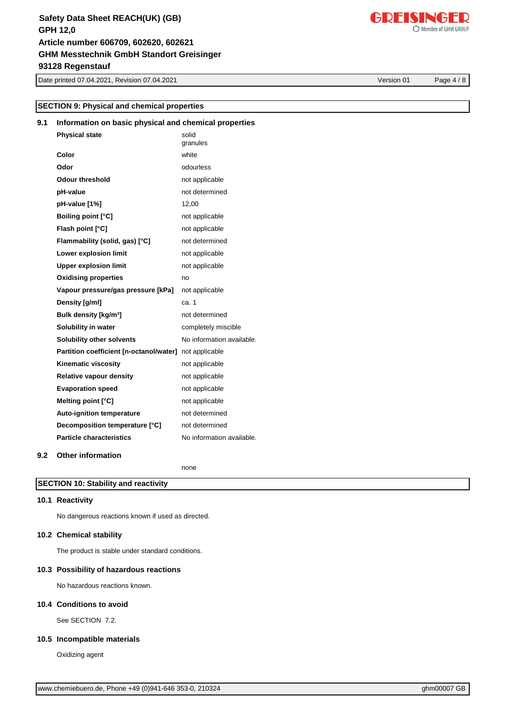Date printed 07.04.2021, Revision 07.04.2021 Version 01 Page 4 / 8

#### Oxidizing agent

[www.chemiebuero.de](http://www.chemiebuero.de), Phone +49 (0)941-646 353-0, 210324 ghm0007 GB

# **SECTION 9: Physical and chemical properties**

# **9.1 Information on basic physical and chemical properties**

| <b>Physical state</b>                   | solid<br>granules         |
|-----------------------------------------|---------------------------|
| Color                                   | white                     |
| Odor                                    | odourless                 |
| <b>Odour threshold</b>                  | not applicable            |
| pH-value                                | not determined            |
| pH-value [1%]                           | 12,00                     |
| <b>Boiling point [°C]</b>               | not applicable            |
| Flash point [°C]                        | not applicable            |
| Flammability (solid, gas) [°C]          | not determined            |
| Lower explosion limit                   | not applicable            |
| <b>Upper explosion limit</b>            | not applicable            |
| <b>Oxidising properties</b>             | no                        |
| Vapour pressure/gas pressure [kPa]      | not applicable            |
| Density [g/ml]                          | ca. 1                     |
| Bulk density [kg/m <sup>3</sup> ]       | not determined            |
| Solubility in water                     | completely miscible       |
| Solubility other solvents               | No information available. |
| Partition coefficient [n-octanol/water] | not applicable            |
| Kinematic viscosity                     | not applicable            |
| Relative vapour density                 | not applicable            |
| <b>Evaporation speed</b>                | not applicable            |
| Melting point [°C]                      | not applicable            |
| <b>Auto-ignition temperature</b>        | not determined            |
| Decomposition temperature [°C]          | not determined            |
| <b>Particle characteristics</b>         | No information available. |
|                                         |                           |

# **9.2 Other information**

none

#### **SECTION 10: Stability and reactivity**

### **10.1 Reactivity**

No dangerous reactions known if used as directed.

#### **10.2 Chemical stability**

The product is stable under standard conditions.

#### **10.3 Possibility of hazardous reactions**

No hazardous reactions known.

#### **10.4 Conditions to avoid**

See SECTION 7.2.

**10.5 Incompatible materials**

# GDEISINGED

Member of GHM GROUP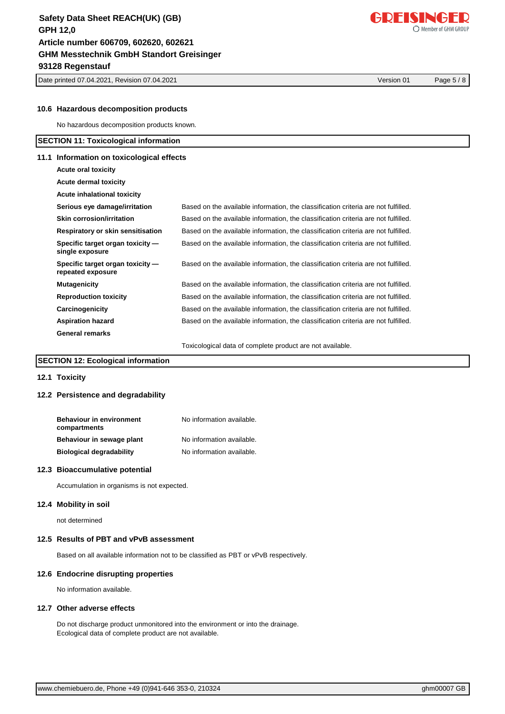Date printed 07.04.2021, Revision 07.04.2021 Version 01 Page 5 / 8

#### **10.6 Hazardous decomposition products**

No hazardous decomposition products known.

#### **SECTION 11: Toxicological information**

#### **11.1 Information on toxicological effects**

| Acute oral toxicity                                   |                                                                                    |
|-------------------------------------------------------|------------------------------------------------------------------------------------|
| <b>Acute dermal toxicity</b>                          |                                                                                    |
| Acute inhalational toxicity                           |                                                                                    |
| Serious eye damage/irritation                         | Based on the available information, the classification criteria are not fulfilled. |
| Skin corrosion/irritation                             | Based on the available information, the classification criteria are not fulfilled. |
| Respiratory or skin sensitisation                     | Based on the available information, the classification criteria are not fulfilled. |
| Specific target organ toxicity —<br>single exposure   | Based on the available information, the classification criteria are not fulfilled. |
| Specific target organ toxicity —<br>repeated exposure | Based on the available information, the classification criteria are not fulfilled. |
| <b>Mutagenicity</b>                                   | Based on the available information, the classification criteria are not fulfilled. |
| <b>Reproduction toxicity</b>                          | Based on the available information, the classification criteria are not fulfilled. |
| Carcinogenicity                                       | Based on the available information, the classification criteria are not fulfilled. |
| <b>Aspiration hazard</b>                              | Based on the available information, the classification criteria are not fulfilled. |
| <b>General remarks</b>                                |                                                                                    |
|                                                       | Toxicological data of complete product are not available.                          |

#### **SECTION 12: Ecological information**

#### **12.1 Toxicity**

#### **12.2 Persistence and degradability**

| <b>Behaviour in environment</b><br>compartments | No information available. |
|-------------------------------------------------|---------------------------|
| Behaviour in sewage plant                       | No information available. |
| <b>Biological degradability</b>                 | No information available. |

#### **12.3 Bioaccumulative potential**

Accumulation in organisms is not expected.

#### **12.4 Mobility in soil**

not determined

#### **12.5 Results of PBT and vPvB assessment**

Based on all available information not to be classified as PBT or vPvB respectively.

#### **12.6 Endocrine disrupting properties**

No information available.

#### **12.7 Other adverse effects**

Do not discharge product unmonitored into the environment or into the drainage. Ecological data of complete product are not available.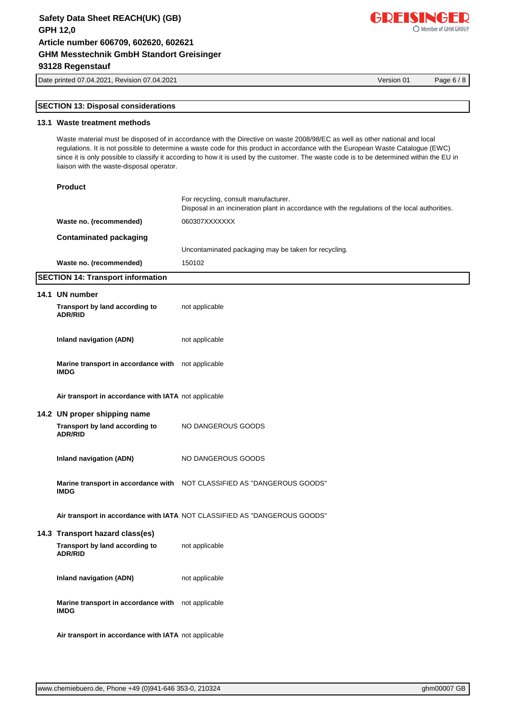Date printed 07.04.2021, Revision 07.04.2021 Version 01 Page 6 / 8

## **SECTION 13: Disposal considerations**

#### **13.1 Waste treatment methods**

Waste material must be disposed of in accordance with the Directive on waste 2008/98/EC as well as other national and local regulations. It is not possible to determine a waste code for this product in accordance with the European Waste Catalogue (EWC) since it is only possible to classify it according to how it is used by the customer. The waste code is to be determined within the EU in liaison with the waste-disposal operator.

| <b>Product</b>                                                                                                                                                                                                                                                                                                                                                                                                   |                                                                                                                                        |
|------------------------------------------------------------------------------------------------------------------------------------------------------------------------------------------------------------------------------------------------------------------------------------------------------------------------------------------------------------------------------------------------------------------|----------------------------------------------------------------------------------------------------------------------------------------|
|                                                                                                                                                                                                                                                                                                                                                                                                                  | For recycling, consult manufacturer.<br>Disposal in an incineration plant in accordance with the regulations of the local authorities. |
| Waste no. (recommended)                                                                                                                                                                                                                                                                                                                                                                                          | 060307XXXXXXX                                                                                                                          |
| Contaminated packaging                                                                                                                                                                                                                                                                                                                                                                                           |                                                                                                                                        |
|                                                                                                                                                                                                                                                                                                                                                                                                                  | Uncontaminated packaging may be taken for recycling.                                                                                   |
| Waste no. (recommended)                                                                                                                                                                                                                                                                                                                                                                                          | 150102                                                                                                                                 |
| $\mathsf{A} \mathsf{F} \mathsf{A} \mathsf{F} \mathsf{I} \mathsf{A} \mathsf{I}$ and $\mathsf{F} \mathsf{I} \mathsf{I} \mathsf{I} \mathsf{I} \mathsf{I} \mathsf{I} \mathsf{I} \mathsf{I} \mathsf{I} \mathsf{I} \mathsf{I} \mathsf{I} \mathsf{I} \mathsf{I} \mathsf{I} \mathsf{I} \mathsf{I} \mathsf{I} \mathsf{I} \mathsf{I} \mathsf{I} \mathsf{I} \mathsf{I} \mathsf{I} \mathsf{I} \mathsf{I} \mathsf{I} \mathsf$ |                                                                                                                                        |

#### **SECTION 14: Transport information**

| 14.1 UN number                                                    |                                                                           |
|-------------------------------------------------------------------|---------------------------------------------------------------------------|
| Transport by land according to<br><b>ADR/RID</b>                  | not applicable                                                            |
| Inland navigation (ADN)                                           | not applicable                                                            |
| Marine transport in accordance with not applicable<br><b>IMDG</b> |                                                                           |
| Air transport in accordance with IATA not applicable              |                                                                           |
| 14.2 UN proper shipping name                                      |                                                                           |
| Transport by land according to<br><b>ADR/RID</b>                  | NO DANGEROUS GOODS                                                        |
| Inland navigation (ADN)                                           | NO DANGEROUS GOODS                                                        |
| <b>IMDG</b>                                                       | Marine transport in accordance with  NOT CLASSIFIED AS "DANGEROUS GOODS"  |
|                                                                   | Air transport in accordance with IATA NOT CLASSIFIED AS "DANGEROUS GOODS" |
| 14.3 Transport hazard class(es)                                   |                                                                           |
| Transport by land according to<br><b>ADR/RID</b>                  | not applicable                                                            |
| Inland navigation (ADN)                                           | not applicable                                                            |
| Marine transport in accordance with not applicable<br><b>IMDG</b> |                                                                           |
|                                                                   |                                                                           |

**Air transport in accordance with IATA** not applicable

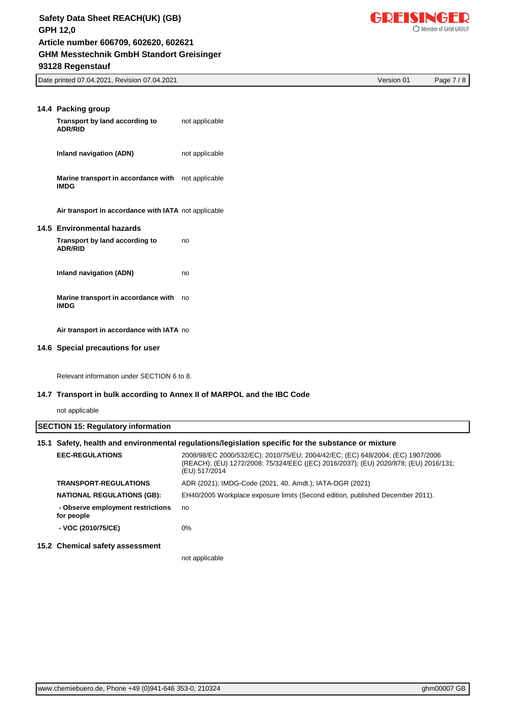

Date printed 07.04.2021, Revision 07.04.2021 Version 01 Page 7 / 8

| 14.4 Packing group<br>Transport by land according to<br><b>ADR/RID</b> | not applicable |
|------------------------------------------------------------------------|----------------|
| Inland navigation (ADN)                                                | not applicable |
| Marine transport in accordance with not applicable<br><b>IMDG</b>      |                |
| Air transport in accordance with IATA not applicable                   |                |
| 14.5 Environmental hazards                                             |                |
| Transport by land according to<br><b>ADR/RID</b>                       | no             |
| Inland navigation (ADN)                                                | no             |
| Marine transport in accordance with<br><b>IMDG</b>                     | no             |
| Air transport in accordance with IATA no                               |                |
| 14.6 Special precautions for user                                      |                |

Relevant information under SECTION 6 to 8.

#### **14.7 Transport in bulk according to Annex II of MARPOL and the IBC Code**

not applicable

| <b>SECTION 15: Regulatory information</b><br>15.1 Safety, health and environmental regulations/legislation specific for the substance or mixture |                                                                                                                                                                                        |  |
|--------------------------------------------------------------------------------------------------------------------------------------------------|----------------------------------------------------------------------------------------------------------------------------------------------------------------------------------------|--|
| <b>EEC-REGULATIONS</b>                                                                                                                           | 2008/98/EC 2000/532/EC); 2010/75/EU; 2004/42/EC; (EC) 648/2004; (EC) 1907/2006<br>(REACH); (EU) 1272/2008; 75/324/EEC ((EC) 2016/2037); (EU) 2020/878; (EU) 2016/131;<br>(EU) 517/2014 |  |
| <b>TRANSPORT-REGULATIONS</b>                                                                                                                     | ADR (2021); IMDG-Code (2021, 40. Amdt.); IATA-DGR (2021)                                                                                                                               |  |
| <b>NATIONAL REGULATIONS (GB):</b>                                                                                                                | EH40/2005 Workplace exposure limits (Second edition, published December 2011).                                                                                                         |  |
| - Observe employment restrictions<br>for people                                                                                                  | no                                                                                                                                                                                     |  |
| - VOC (2010/75/CE)                                                                                                                               | $0\%$                                                                                                                                                                                  |  |
| 15.2 Chemical safety assessment                                                                                                                  |                                                                                                                                                                                        |  |
|                                                                                                                                                  | not applicable                                                                                                                                                                         |  |